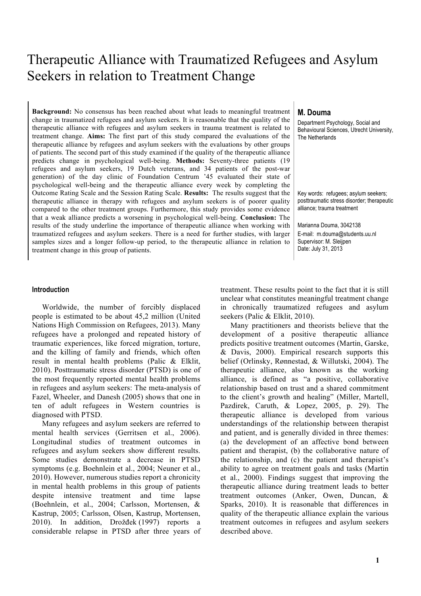# Therapeutic Alliance with Traumatized Refugees and Asylum Seekers in relation to Treatment Change

**Background:** No consensus has been reached about what leads to meaningful treatment change in traumatized refugees and asylum seekers. It is reasonable that the quality of the therapeutic alliance with refugees and asylum seekers in trauma treatment is related to treatment change. **Aims:** The first part of this study compared the evaluations of the therapeutic alliance by refugees and asylum seekers with the evaluations by other groups of patients. The second part of this study examined if the quality of the therapeutic alliance predicts change in psychological well-being. **Methods:** Seventy-three patients (19 refugees and asylum seekers, 19 Dutch veterans, and 34 patients of the post-war generation) of the day clinic of Foundation Centrum '45 evaluated their state of psychological well-being and the therapeutic alliance every week by completing the Outcome Rating Scale and the Session Rating Scale. **Results:** The results suggest that the therapeutic alliance in therapy with refugees and asylum seekers is of poorer quality compared to the other treatment groups. Furthermore, this study provides some evidence that a weak alliance predicts a worsening in psychological well-being. **Conclusion:** The results of the study underline the importance of therapeutic alliance when working with traumatized refugees and asylum seekers. There is a need for further studies, with larger samples sizes and a longer follow-up period, to the therapeutic alliance in relation to treatment change in this group of patients.

#### **M. Douma**

Department Psychology, Social and Behavioural Sciences, Utrecht University, The Netherlands

Key words: refugees; asylum seekers; posttraumatic stress disorder; therapeutic alliance; trauma treatment

Marianna Douma, 3042138 E-mail: m.douma@students.uu.nl Supervisor: M. Sleijpen Date: July 31, 2013

#### **Introduction**

Worldwide, the number of forcibly displaced people is estimated to be about 45,2 million (United Nations High Commission on Refugees, 2013). Many refugees have a prolonged and repeated history of traumatic experiences, like forced migration, torture, and the killing of family and friends, which often result in mental health problems (Palic & Elklit, 2010). Posttraumatic stress disorder (PTSD) is one of the most frequently reported mental health problems in refugees and asylum seekers: The meta-analysis of Fazel, Wheeler, and Danesh (2005) shows that one in ten of adult refugees in Western countries is diagnosed with PTSD.

Many refugees and asylum seekers are referred to mental health services (Gerritsen et al., 2006). Longitudinal studies of treatment outcomes in refugees and asylum seekers show different results. Some studies demonstrate a decrease in PTSD symptoms (e.g. Boehnlein et al., 2004; Neuner et al., 2010). However, numerous studies report a chronicity in mental health problems in this group of patients despite intensive treatment and time lapse (Boehnlein, et al., 2004; Carlsson, Mortensen, & Kastrup, 2005; Carlsson, Olsen, Kastrup, Mortensen, 2010). In addition, Drožđek (1997) reports a considerable relapse in PTSD after three years of treatment. These results point to the fact that it is still unclear what constitutes meaningful treatment change in chronically traumatized refugees and asylum seekers (Palic & Elklit, 2010).

Many practitioners and theorists believe that the development of a positive therapeutic alliance predicts positive treatment outcomes (Martin, Garske, & Davis, 2000). Empirical research supports this belief (Orlinsky, Rønnestad, & Willutski, 2004). The therapeutic alliance, also known as the working alliance, is defined as "a positive, collaborative relationship based on trust and a shared commitment to the client's growth and healing" (Miller, Martell, Pazdirek, Caruth, & Lopez, 2005, p. 29). The therapeutic alliance is developed from various understandings of the relationship between therapist and patient, and is generally divided in three themes: (a) the development of an affective bond between patient and therapist, (b) the collaborative nature of the relationship, and (c) the patient and therapist's ability to agree on treatment goals and tasks (Martin et al., 2000). Findings suggest that improving the therapeutic alliance during treatment leads to better treatment outcomes (Anker, Owen, Duncan, & Sparks, 2010). It is reasonable that differences in quality of the therapeutic alliance explain the various treatment outcomes in refugees and asylum seekers described above.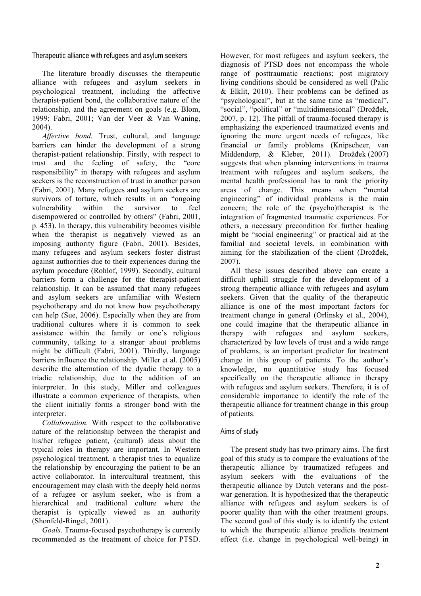Therapeutic alliance with refugees and asylum seekers

The literature broadly discusses the therapeutic alliance with refugees and asylum seekers in psychological treatment, including the affective therapist-patient bond, the collaborative nature of the relationship, and the agreement on goals (e.g. Blom, 1999; Fabri, 2001; Van der Veer & Van Waning, 2004).

*Affective bond.* Trust, cultural, and language barriers can hinder the development of a strong therapist-patient relationship. Firstly, with respect to trust and the feeling of safety, the "core responsibility" in therapy with refugees and asylum seekers is the reconstruction of trust in another person (Fabri, 2001). Many refugees and asylum seekers are survivors of torture, which results in an "ongoing vulnerability within the survivor to feel disempowered or controlled by others" (Fabri, 2001, p. 453). In therapy, this vulnerability becomes visible when the therapist is negatively viewed as an imposing authority figure (Fabri, 2001). Besides, many refugees and asylum seekers foster distrust against authorities due to their experiences during the asylum procedure (Rohlof, 1999). Secondly, cultural barriers form a challenge for the therapist-patient relationship. It can be assumed that many refugees and asylum seekers are unfamiliar with Western psychotherapy and do not know how psychotherapy can help (Sue, 2006). Especially when they are from traditional cultures where it is common to seek assistance within the family or one's religious community, talking to a stranger about problems might be difficult (Fabri, 2001). Thirdly, language barriers influence the relationship. Miller et al. (2005) describe the alternation of the dyadic therapy to a triadic relationship, due to the addition of an interpreter. In this study, Miller and colleagues illustrate a common experience of therapists, when the client initially forms a stronger bond with the interpreter.

*Collaboration.* With respect to the collaborative nature of the relationship between the therapist and his/her refugee patient, (cultural) ideas about the typical roles in therapy are important. In Western psychological treatment, a therapist tries to equalize the relationship by encouraging the patient to be an active collaborator. In intercultural treatment, this encouragement may clash with the deeply held norms of a refugee or asylum seeker, who is from a hierarchical and traditional culture where the therapist is typically viewed as an authority (Shonfeld-Ringel, 2001).

*Goals.* Trauma-focused psychotherapy is currently recommended as the treatment of choice for PTSD. However, for most refugees and asylum seekers, the diagnosis of PTSD does not encompass the whole range of posttraumatic reactions; post migratory living conditions should be considered as well (Palic  $&$  Elklit, 2010). Their problems can be defined as "psychological", but at the same time as "medical", "social", "political" or "multidimensional" (Drožđek, 2007, p. 12). The pitfall of trauma-focused therapy is emphasizing the experienced traumatized events and ignoring the more urgent needs of refugees, like financial or family problems (Knipscheer, van Middendorp, & Kleber, 2011). Drožđek (2007) suggests that when planning interventions in trauma treatment with refugees and asylum seekers, the mental health professional has to rank the priority areas of change. This means when "mental engineering" of individual problems is the main concern; the role of the (psycho)therapist is the integration of fragmented traumatic experiences. For others, a necessary precondition for further healing might be "social engineering" or practical aid at the familial and societal levels, in combination with aiming for the stabilization of the client (Drožđek, 2007).

All these issues described above can create a difficult uphill struggle for the development of a strong therapeutic alliance with refugees and asylum seekers. Given that the quality of the therapeutic alliance is one of the most important factors for treatment change in general (Orlinsky et al., 2004), one could imagine that the therapeutic alliance in therapy with refugees and asylum seekers, characterized by low levels of trust and a wide range of problems, is an important predictor for treatment change in this group of patients. To the author's knowledge, no quantitative study has focused specifically on the therapeutic alliance in therapy with refugees and asylum seekers. Therefore, it is of considerable importance to identify the role of the therapeutic alliance for treatment change in this group of patients.

# Aims of study

The present study has two primary aims. The first goal of this study is to compare the evaluations of the therapeutic alliance by traumatized refugees and asylum seekers with the evaluations of the therapeutic alliance by Dutch veterans and the postwar generation. It is hypothesized that the therapeutic alliance with refugees and asylum seekers is of poorer quality than with the other treatment groups. The second goal of this study is to identify the extent to which the therapeutic alliance predicts treatment effect (i.e. change in psychological well-being) in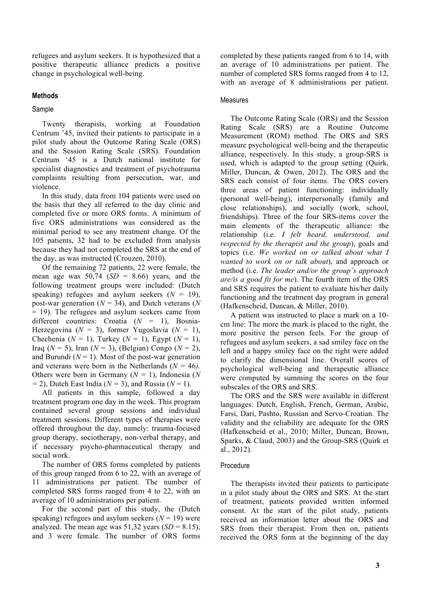refugees and asylum seekers. It is hypothesized that a positive therapeutic alliance predicts a positive change in psychological well-being.

## **Methods**

## Sample

Twenty therapists, working at Foundation Centrum '45, invited their patients to participate in a pilot study about the Outcome Rating Scale (ORS) and the Session Rating Scale (SRS). Foundation Centrum '45 is a Dutch national institute for specialist diagnostics and treatment of psychotrauma complaints resulting from persecution, war, and violence.

In this study, data from 104 patients were used on the basis that they all referred to the day clinic and completed five or more ORS forms. A minimum of five ORS administrations was considered as the minimal period to see any treatment change. Of the 105 patients, 32 had to be excluded from analysis because they had not completed the SRS at the end of the day, as was instructed (Crouzen, 2010).

Of the remaining 72 patients, 22 were female, the mean age was  $50,74$  ( $SD = 8.66$ ) years, and the following treatment groups were included: (Dutch speaking) refugees and asylum seekers  $(N = 19)$ . post-war generation (*N* = 34), and Dutch veterans (*N* = 19). The refugees and asylum seekers came from different countries: Croatia (*N* = 1), Bosnia-Herzegovina  $(N = 3)$ , former Yugoslavia  $(N = 1)$ , Chechenia ( $N = 1$ ), Turkey ( $N = 1$ ), Egypt ( $N = 1$ ), Iraq  $(N = 5)$ , Iran  $(N = 3)$ , (Belgian) Congo  $(N = 2)$ , and Burundi  $(N = 1)$ . Most of the post-war generation and veterans were born in the Netherlands ( $N = 46$ ). Others were born in Germany  $(N = 1)$ , Indonesia (*N*  $= 2$ ), Dutch East India ( $N = 3$ ), and Russia ( $N = 1$ ).

All patients in this sample, followed a day treatment program one day in the week. This program contained several group sessions and individual treatment sessions. Different types of therapies were offered throughout the day, namely: trauma-focused group therapy, sociotherapy, non-verbal therapy, and if necessary psycho-pharmaceutical therapy and social work.

The number of ORS forms completed by patients of this group ranged from 6 to 22, with an average of 11 administrations per patient. The number of completed SRS forms ranged from 4 to 22, with an average of 10 administrations per patient.

For the second part of this study, the (Dutch speaking) refugees and asylum seekers  $(N = 19)$  were analyzed. The mean age was  $51,32$  years  $(SD = 8.15)$ , and 3 were female. The number of ORS forms

completed by these patients ranged from 6 to 14, with an average of 10 administrations per patient. The number of completed SRS forms ranged from 4 to 12, with an average of 8 administrations per patient.

## Measures

The Outcome Rating Scale (ORS) and the Session Rating Scale (SRS) are a Routine Outcome Measurement (ROM) method. The ORS and SRS measure psychological well-being and the therapeutic alliance, respectively. In this study, a group-SRS is used, which is adapted to the group setting (Quirk, Miller, Duncan, & Owen, 2012). The ORS and the SRS each consist of four items. The ORS covers three areas of patient functioning: individually (personal well-being), interpersonally (family and close relationships), and socially (work, school, friendships). Three of the four SRS-items cover the main elements of the therapeutic alliance: the relationship (i.e. *I felt heard, understood, and respected by the therapist and the group*), goals and topics (i.e. *We worked on or talked about what I wanted to work on or talk about*), and approach or method (i.e. *The leader and/or the group's approach are/is a good fit for me*). The fourth item of the ORS and SRS requires the patient to evaluate his/her daily functioning and the treatment day program in general (Hafkenscheid, Duncan, & Miller, 2010).

A patient was instructed to place a mark on a 10 cm line: The more the mark is placed to the right, the more positive the person feels. For the group of refugees and asylum seekers, a sad smiley face on the left and a happy smiley face on the right were added to clarify the dimensional line. Overall scores of psychological well-being and therapeutic alliance were computed by summing the scores on the four subscales of the ORS and SRS.

The ORS and the SRS were available in different languages: Dutch, English, French, German, Arabic, Farsi, Dari, Pashto, Russian and Servo-Croatian. The validity and the reliability are adequate for the ORS (Hafkenscheid et al., 2010; Miller, Duncan, Brown, Sparks, & Claud, 2003) and the Group-SRS (Quirk et al., 2012).

## Procedure

The therapists invited their patients to participate in a pilot study about the ORS and SRS. At the start of treatment, patients provided written informed consent. At the start of the pilot study, patients received an information letter about the ORS and SRS from their therapist. From then on, patients received the ORS form at the beginning of the day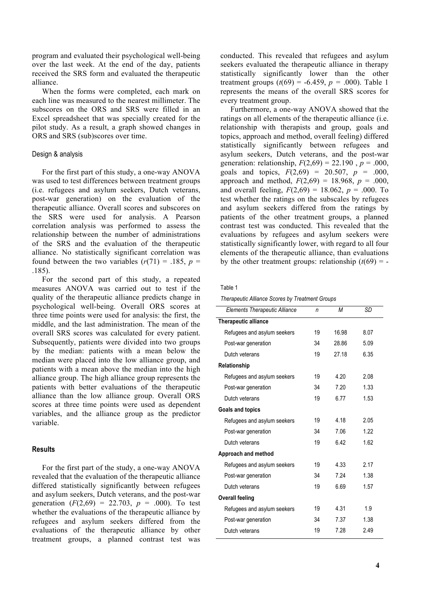program and evaluated their psychological well-being over the last week. At the end of the day, patients received the SRS form and evaluated the therapeutic alliance.

When the forms were completed, each mark on each line was measured to the nearest millimeter. The subscores on the ORS and SRS were filled in an Excel spreadsheet that was specially created for the pilot study. As a result, a graph showed changes in ORS and SRS (sub)scores over time.

#### Design & analysis

For the first part of this study, a one-way ANOVA was used to test differences between treatment groups (i.e. refugees and asylum seekers, Dutch veterans, post-war generation) on the evaluation of the therapeutic alliance. Overall scores and subscores on the SRS were used for analysis. A Pearson correlation analysis was performed to assess the relationship between the number of administrations of the SRS and the evaluation of the therapeutic alliance. No statistically significant correlation was found between the two variables  $(r(71) = .185, p =$ .185).

For the second part of this study, a repeated measures ANOVA was carried out to test if the quality of the therapeutic alliance predicts change in psychological well-being. Overall ORS scores at three time points were used for analysis: the first, the middle, and the last administration. The mean of the overall SRS scores was calculated for every patient. Subsequently, patients were divided into two groups by the median: patients with a mean below the median were placed into the low alliance group, and patients with a mean above the median into the high alliance group. The high alliance group represents the patients with better evaluations of the therapeutic alliance than the low alliance group. Overall ORS scores at three time points were used as dependent variables, and the alliance group as the predictor variable.

#### **Results**

For the first part of the study, a one-way ANOVA revealed that the evaluation of the therapeutic alliance differed statistically significantly between refugees and asylum seekers, Dutch veterans, and the post-war generation  $(F(2,69) = 22.703, p = .000)$ . To test whether the evaluations of the therapeutic alliance by refugees and asylum seekers differed from the evaluations of the therapeutic alliance by other treatment groups, a planned contrast test was conducted. This revealed that refugees and asylum seekers evaluated the therapeutic alliance in therapy statistically significantly lower than the other treatment groups  $(t(69) = -6.459, p = .000)$ . Table 1 represents the means of the overall SRS scores for every treatment group.

Furthermore, a one-way ANOVA showed that the ratings on all elements of the therapeutic alliance (i.e. relationship with therapists and group, goals and topics, approach and method, overall feeling) differed statistically significantly between refugees and asylum seekers, Dutch veterans, and the post-war generation: relationship,  $F(2,69) = 22.190$ ,  $p = .000$ , goals and topics,  $F(2,69) = 20.507$ ,  $p = .000$ , approach and method,  $F(2,69) = 18.968$ ,  $p = .000$ , and overall feeling,  $F(2,69) = 18.062$ ,  $p = .000$ . To test whether the ratings on the subscales by refugees and asylum seekers differed from the ratings by patients of the other treatment groups, a planned contrast test was conducted. This revealed that the evaluations by refugees and asylum seekers were statistically significantly lower, with regard to all four elements of the therapeutic alliance, than evaluations by the other treatment groups: relationship  $(t(69) = -$ 

Table 1

*Therapeutic Alliance Scores by Treatment Groups* 

| <b>Elements Therapeutic Alliance</b> | n  | М     | SD   |
|--------------------------------------|----|-------|------|
| <b>Therapeutic alliance</b>          |    |       |      |
| Refugees and asylum seekers          | 19 | 16.98 | 8.07 |
| Post-war generation                  | 34 | 28.86 | 5.09 |
| Dutch veterans                       | 19 | 27.18 | 6.35 |
| Relationship                         |    |       |      |
| Refugees and asylum seekers          | 19 | 4.20  | 2.08 |
| Post-war generation                  | 34 | 7.20  | 1.33 |
| Dutch veterans                       | 19 | 6.77  | 1.53 |
| <b>Goals and topics</b>              |    |       |      |
| Refugees and asylum seekers          | 19 | 4.18  | 2.05 |
| Post-war generation                  | 34 | 7.06  | 1 22 |
| Dutch veterans                       | 19 | 6.42  | 1.62 |
| Approach and method                  |    |       |      |
| Refugees and asylum seekers          | 19 | 4.33  | 2.17 |
| Post-war generation                  | 34 | 7.24  | 1.38 |
| Dutch veterans                       | 19 | 6.69  | 1.57 |
| <b>Overall feeling</b>               |    |       |      |
| Refugees and asylum seekers          | 19 | 4.31  | 1.9  |
| Post-war generation                  | 34 | 7.37  | 1.38 |
| Dutch veterans                       | 19 | 7.28  | 2.49 |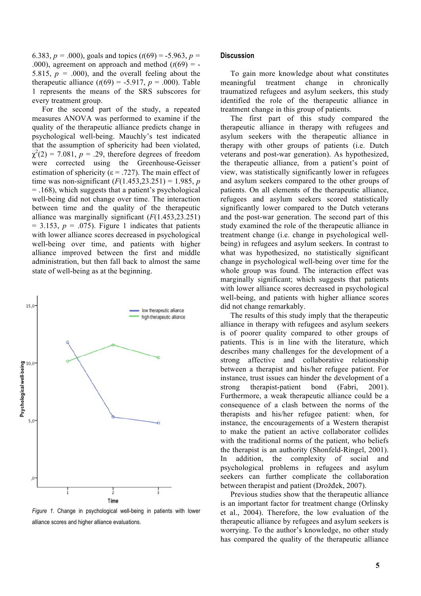6.383,  $p = .000$ , goals and topics ( $t(69) = -5.963$ ,  $p =$ .000), agreement on approach and method  $(t(69) = -$ 5.815,  $p = .000$ , and the overall feeling about the therapeutic alliance  $(t(69) = -5.917, p = .000)$ . Table 1 represents the means of the SRS subscores for every treatment group.

For the second part of the study, a repeated measures ANOVA was performed to examine if the quality of the therapeutic alliance predicts change in psychological well-being. Mauchly's test indicated that the assumption of sphericity had been violated,  $\chi^2(2) = 7.081$ ,  $p = .29$ , therefore degrees of freedom were corrected using the Greenhouse-Geisser estimation of sphericity ( $\varepsilon$  = .727). The main effect of time was non-significant (*F*(1.453,23.251) = 1.985, *p* = .168), which suggests that a patient's psychological well-being did not change over time. The interaction between time and the quality of the therapeutic alliance was marginally significant (*F*(1.453,23.251)  $= 3.153$ ,  $p = .075$ ). Figure 1 indicates that patients with lower alliance scores decreased in psychological well-being over time, and patients with higher alliance improved between the first and middle administration, but then fall back to almost the same state of well-being as at the beginning.



*Figure 1.* Change in psychological well-being in patients with lower alliance scores and higher alliance evaluations.

#### **Discussion**

To gain more knowledge about what constitutes meaningful treatment change in chronically traumatized refugees and asylum seekers, this study identified the role of the therapeutic alliance in treatment change in this group of patients.

The first part of this study compared the therapeutic alliance in therapy with refugees and asylum seekers with the therapeutic alliance in therapy with other groups of patients (i.e. Dutch veterans and post-war generation). As hypothesized, the therapeutic alliance, from a patient's point of view, was statistically significantly lower in refugees and asylum seekers compared to the other groups of patients. On all elements of the therapeutic alliance, refugees and asylum seekers scored statistically significantly lower compared to the Dutch veterans and the post-war generation. The second part of this study examined the role of the therapeutic alliance in treatment change (i.e. change in psychological wellbeing) in refugees and asylum seekers. In contrast to what was hypothesized, no statistically significant change in psychological well-being over time for the whole group was found. The interaction effect was marginally significant; which suggests that patients with lower alliance scores decreased in psychological well-being, and patients with higher alliance scores did not change remarkably.

The results of this study imply that the therapeutic alliance in therapy with refugees and asylum seekers is of poorer quality compared to other groups of patients. This is in line with the literature, which describes many challenges for the development of a strong affective and collaborative relationship between a therapist and his/her refugee patient. For instance, trust issues can hinder the development of a strong therapist-patient bond (Fabri, 2001). Furthermore, a weak therapeutic alliance could be a consequence of a clash between the norms of the therapists and his/her refugee patient: when, for instance, the encouragements of a Western therapist to make the patient an active collaborator collides with the traditional norms of the patient, who beliefs the therapist is an authority (Shonfeld-Ringel, 2001). In addition, the complexity of social and psychological problems in refugees and asylum seekers can further complicate the collaboration between therapist and patient (Drožđek, 2007).

Previous studies show that the therapeutic alliance is an important factor for treatment change (Orlinsky et al., 2004). Therefore, the low evaluation of the therapeutic alliance by refugees and asylum seekers is worrying. To the author's knowledge, no other study has compared the quality of the therapeutic alliance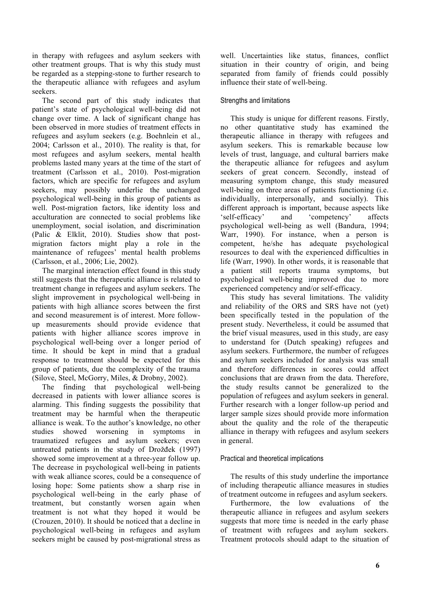in therapy with refugees and asylum seekers with other treatment groups. That is why this study must be regarded as a stepping-stone to further research to the therapeutic alliance with refugees and asylum seekers.

The second part of this study indicates that patient's state of psychological well-being did not change over time. A lack of significant change has been observed in more studies of treatment effects in refugees and asylum seekers (e.g. Boehnlein et al., 2004; Carlsson et al., 2010). The reality is that, for most refugees and asylum seekers, mental health problems lasted many years at the time of the start of treatment (Carlsson et al., 2010). Post-migration factors, which are specific for refugees and asylum seekers, may possibly underlie the unchanged psychological well-being in this group of patients as well. Post-migration factors, like identity loss and acculturation are connected to social problems like unemployment, social isolation, and discrimination (Palic & Elklit, 2010). Studies show that postmigration factors might play a role in the maintenance of refugees' mental health problems (Carlsson, et al., 2006; Lie, 2002).

The marginal interaction effect found in this study still suggests that the therapeutic alliance is related to treatment change in refugees and asylum seekers. The slight improvement in psychological well-being in patients with high alliance scores between the first and second measurement is of interest. More followup measurements should provide evidence that patients with higher alliance scores improve in psychological well-being over a longer period of time. It should be kept in mind that a gradual response to treatment should be expected for this group of patients, due the complexity of the trauma (Silove, Steel, McGorry, Miles, & Drobny, 2002).

The finding that psychological well-being decreased in patients with lower alliance scores is alarming. This finding suggests the possibility that treatment may be harmful when the therapeutic alliance is weak. To the author's knowledge, no other studies showed worsening in symptoms in traumatized refugees and asylum seekers; even untreated patients in the study of Drožđek (1997) showed some improvement at a three-year follow up. The decrease in psychological well-being in patients with weak alliance scores, could be a consequence of losing hope: Some patients show a sharp rise in psychological well-being in the early phase of treatment, but constantly worsen again when treatment is not what they hoped it would be (Crouzen, 2010). It should be noticed that a decline in psychological well-being in refugees and asylum seekers might be caused by post-migrational stress as

well. Uncertainties like status, finances, conflict situation in their country of origin, and being separated from family of friends could possibly influence their state of well-being.

## Strengths and limitations

This study is unique for different reasons. Firstly, no other quantitative study has examined the therapeutic alliance in therapy with refugees and asylum seekers. This is remarkable because low levels of trust, language, and cultural barriers make the therapeutic alliance for refugees and asylum seekers of great concern. Secondly, instead of measuring symptom change, this study measured well-being on three areas of patients functioning (i.e. individually, interpersonally, and socially). This different approach is important, because aspects like 'self-efficacy' and 'competency' affects psychological well-being as well (Bandura, 1994; Warr, 1990). For instance, when a person is competent, he/she has adequate psychological resources to deal with the experienced difficulties in life (Warr, 1990). In other words, it is reasonable that a patient still reports trauma symptoms, but psychological well-being improved due to more experienced competency and/or self-efficacy.

This study has several limitations. The validity and reliability of the ORS and SRS have not (yet) been specifically tested in the population of the present study. Nevertheless, it could be assumed that the brief visual measures, used in this study, are easy to understand for (Dutch speaking) refugees and asylum seekers. Furthermore, the number of refugees and asylum seekers included for analysis was small and therefore differences in scores could affect conclusions that are drawn from the data. Therefore, the study results cannot be generalized to the population of refugees and asylum seekers in general. Further research with a longer follow-up period and larger sample sizes should provide more information about the quality and the role of the therapeutic alliance in therapy with refugees and asylum seekers in general.

# Practical and theoretical implications

The results of this study underline the importance of including therapeutic alliance measures in studies of treatment outcome in refugees and asylum seekers.

Furthermore, the low evaluations of the therapeutic alliance in refugees and asylum seekers suggests that more time is needed in the early phase of treatment with refugees and asylum seekers. Treatment protocols should adapt to the situation of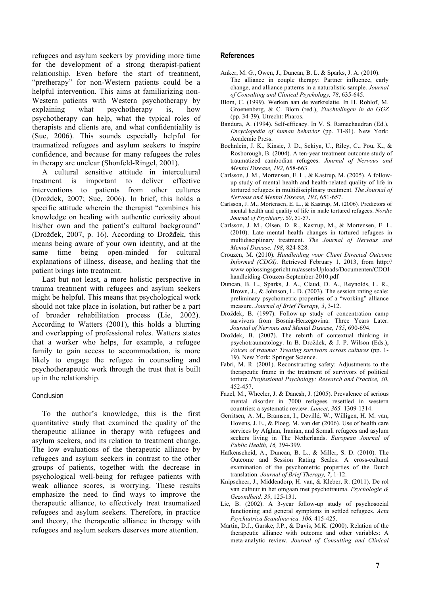refugees and asylum seekers by providing more time for the development of a strong therapist-patient relationship. Even before the start of treatment, "pretherapy" for non-Western patients could be a helpful intervention. This aims at familiarizing non-Western patients with Western psychotherapy by explaining what psychotherapy is, how psychotherapy can help, what the typical roles of therapists and clients are, and what confidentiality is (Sue, 2006). This sounds especially helpful for traumatized refugees and asylum seekers to inspire confidence, and because for many refugees the roles in therapy are unclear (Shonfeld-Ringel, 2001).

A cultural sensitive attitude in intercultural treatment is important to deliver effective interventions to patients from other cultures (Drožđek, 2007; Sue, 2006). In brief, this holds a specific attitude wherein the therapist "combines his knowledge on healing with authentic curiosity about his/her own and the patient's cultural background" (Drožđek, 2007, p. 16). According to Drožđek, this means being aware of your own identity, and at the same time being open-minded for cultural explanations of illness, disease, and healing that the patient brings into treatment.

Last but not least, a more holistic perspective in trauma treatment with refugees and asylum seekers might be helpful. This means that psychological work should not take place in isolation, but rather be a part of broader rehabilitation process (Lie, 2002). According to Watters (2001), this holds a blurring and overlapping of professional roles. Watters states that a worker who helps, for example, a refugee family to gain access to accommodation, is more likely to engage the refugee in counseling and psychotherapeutic work through the trust that is built up in the relationship.

## Conclusion

To the author's knowledge, this is the first quantitative study that examined the quality of the therapeutic alliance in therapy with refugees and asylum seekers, and its relation to treatment change. The low evaluations of the therapeutic alliance by refugees and asylum seekers in contrast to the other groups of patients, together with the decrease in psychological well-being for refugee patients with weak alliance scores, is worrying. These results emphasize the need to find ways to improve the therapeutic alliance, to effectively treat traumatized refugees and asylum seekers. Therefore, in practice and theory, the therapeutic alliance in therapy with refugees and asylum seekers deserves more attention.

#### **References**

- Anker, M. G., Owen, J., Duncan, B. L. & Sparks, J. A. (2010). The alliance in couple therapy: Partner influence, early change, and alliance patterns in a naturalistic sample. *Journal of Consulting and Clinical Psychology, 78*, 635-645.
- Blom, C. (1999). Werken aan de werkrelatie. In H. Rohlof, M. Groenenberg, & C. Blom (red.), *Vluchtelingen in de GGZ*  (pp. 34-39)*.* Utrecht: Pharos.
- Bandura, A. (1994). Self-efficacy. In V. S. Ramachaudran (Ed.), *Encyclopedia of human behavior* (pp. 71-81). New York: Academic Press.
- Boehnlein, J. K., Kinsie, J. D., Sekiya, U., Riley, C., Pou, K., & Rosborough, B. (2004). A ten-year treatment outcome study of traumatized cambodian refugees. *Journal of Nervous and Mental Disease, 192,* 658-663.
- Carlsson, J. M., Mortensen, E. L., & Kastrup, M. (2005). A followup study of mental health and health-related quality of life in tortured refugees in multidisciplinary treatment. *The Journal of Nervous and Mental Disease, 193*, 651-657.
- Carlsson, J. M., Mortensen, E. L., & Kastrup, M. (2006). Predictors of mental health and quality of life in male tortured refugees. *Nordic Journal of Psychiatry, 60,* 51-57.
- Carlsson, J. M., Olsen, D. R., Kastrup, M., & Mortensen, E. L. (2010). Late mental health changes in tortured refugees in multidisciplinary treatment. *The Journal of Nervous and Mental Disease, 198*, 824-828.
- Crouzen, M. (2010). *Handleiding voor Client Directed Outcome Informed (CDOI).* Retrieved February 1, 2013, from http:// www.oplossingsgericht.nu/assets/Uploads/Documenten/CDOIhandleiding-Crouzen-September-2010.pdf
- Duncan, B. L., Sparks, J. A., Claud, D. A., Reynolds, L. R., Brown, J., & Johnson, L. D. (2003). The session rating scale: preliminary psychometric properties of a "working" alliance measure. *Journal of Brief Therapy, 3*, 3-12.
- Drožđek, B. (1997). Follow-up study of concentration camp survivors from Bosnia-Herzegovina: Three Years Later. *Journal of Nervous and Mental Disease, 185*, 690-694.
- Drožđek, B. (2007). The rebirth of contextual thinking in psychotraumatology. In B. Drožđek, & J. P. Wilson (Eds.), *Voices of trauma: Treating survivors across cultures* (pp. 1- 19). New York: Springer Science.
- Fabri, M. R. (2001). Reconstructing safety: Adjustments to the therapeutic frame in the treatment of survivors of political torture. *Professional Psychology: Research and Practice, 30*, 452-457.
- Fazel, M., Wheeler, J. & Danesh, J. (2005). Prevalence of serious mental disorder in 7000 refugees resettled in western countries: a systematic review. *Lancet, 365,* 1309-1314.
- Gerritsen, A. M., Bramsen, I., Devillé, W., Willigen, H. M. van, Hovens, J. E., & Ploeg, M. van der (2006). Use of health care services by Afghan, Iranian, and Somali refugees and asylum seekers living in The Netherlands. *European Journal of Public Health, 16,* 394-399*.*
- Hafkenscheid, A., Duncan, B. L., & Miller, S. D. (2010). The Outcome and Session Rating Scales: A cross-cultural examination of the psychometric properties of the Dutch translation. *Journal of Brief Therapy, 7*, 1-12.
- Knipscheer, J., Middendorp, H. van, & Kleber, R. (2011). De rol van cultuur in het omgaan met psychotrauma. *Psychologie & Gezondheid, 39*, 125-131.
- Lie, B. (2002). A 3-year follow-up study of psychosocial functioning and general symptoms in settled refugees. *Acta Psychiatrica Scandinavica, 106,* 415-425.
- Martin, D.J., Garske, J.P., & Davis, M.K. (2000). Relation of the therapeutic alliance with outcome and other variables: A meta-analytic review. *Journal of Consulting and Clinical*